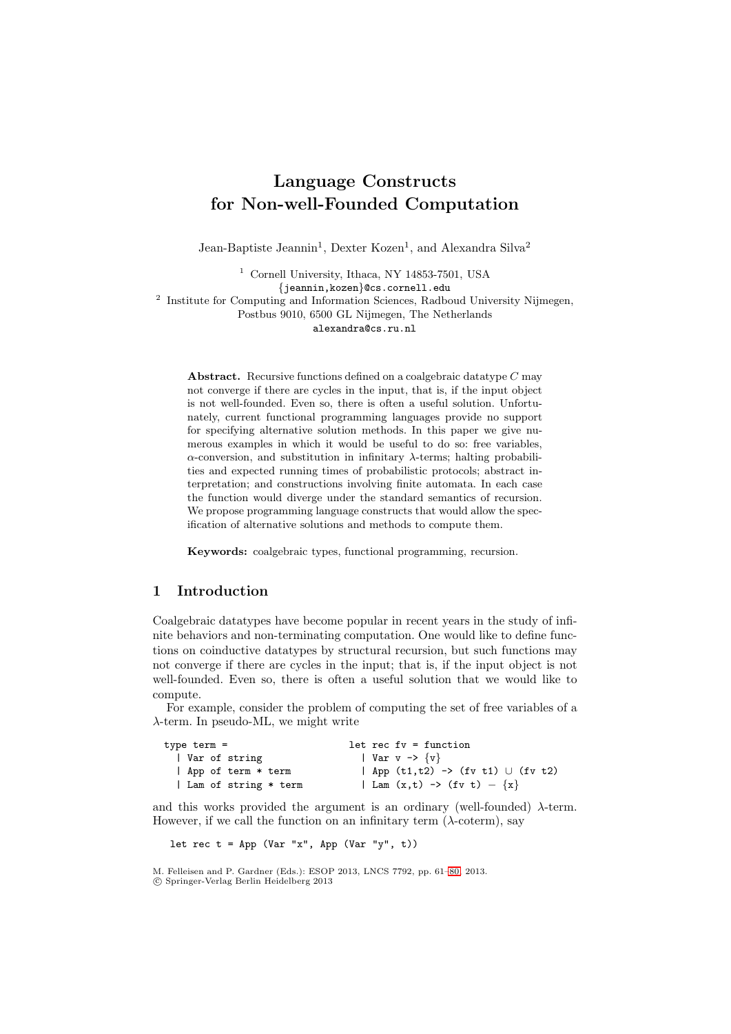# **Language Constructs for Non-well-Founded Computation**

Jean-Baptiste Jeannin<sup>1</sup>, Dexter Kozen<sup>1</sup>, and Alexandra Silva<sup>2</sup>

<sup>1</sup> Cornell University, Ithaca, NY 14853-7501, USA {jeannin,kozen}@cs.cornell.edu <sup>2</sup> Institute for Computing and Information Sciences, Radboud University Nijmegen, Postbus 9010, 6500 GL Nijmegen, The Netherlands alexandra@cs.ru.nl

Abstract. Recursive functions defined on a coalgebraic datatype  $C$  may not converge if there are cycles in the input, that is, if the input object is not well-founded. Even so, there is often a useful solution. Unfortunately, current functional programming languages provide no support for specifying alternative solution methods. In this paper we give numerous examples in which it would be useful to do so: free variables,  $\alpha$ -conversion, and substitution in infinitary  $\lambda$ -terms; halting probabilities and expected running times of probabilistic protocols; abstract interpretation; and constructions involving finite automata. In each case the function would diverge under the standard semantics of recursion. We propose programming language constructs that would allow the specification of alternative solutions and methods to compute them.

**Keywords:** coalgebraic types, functional programming, recursion.

### **1 Introduction**

Coalgebraic datatypes have become popular in recent years in the study of infinite behaviors and non-terminating computation. One would like to define functions on coinductive datatypes by structural recursion, but such functions may not converge if there are cycles in the input; that is, if the input object is not well-founded. Even so, there is often a useful solution that we would like to compute.

For example, consider the problem of computing the set of free variables of a  $\lambda$ -term. In pseudo-ML, we might write

| $let rec fv = function$                      |
|----------------------------------------------|
| Var $v \rightarrow \{v\}$                    |
| App $(t1, t2)$ -> $(fv t1)$ $\cup$ $(fv t2)$ |
| Lam $(x,t) \rightarrow (fv t) - {x}$         |
|                                              |

and this works provided the argument is an ordinary (well-founded)  $\lambda$ -term. However, if we call the function on an infinitary term  $(\lambda\text{-coterm})$ , say

let rec  $t = App (Var "x", App (Var "y", t))$ 

M. Felleisen and P. Gardner (Eds.): ESOP 2013, LNCS 7792, pp. 61[–80,](#page-19-0) 2013. -c Springer-Verlag Berlin Heidelberg 2013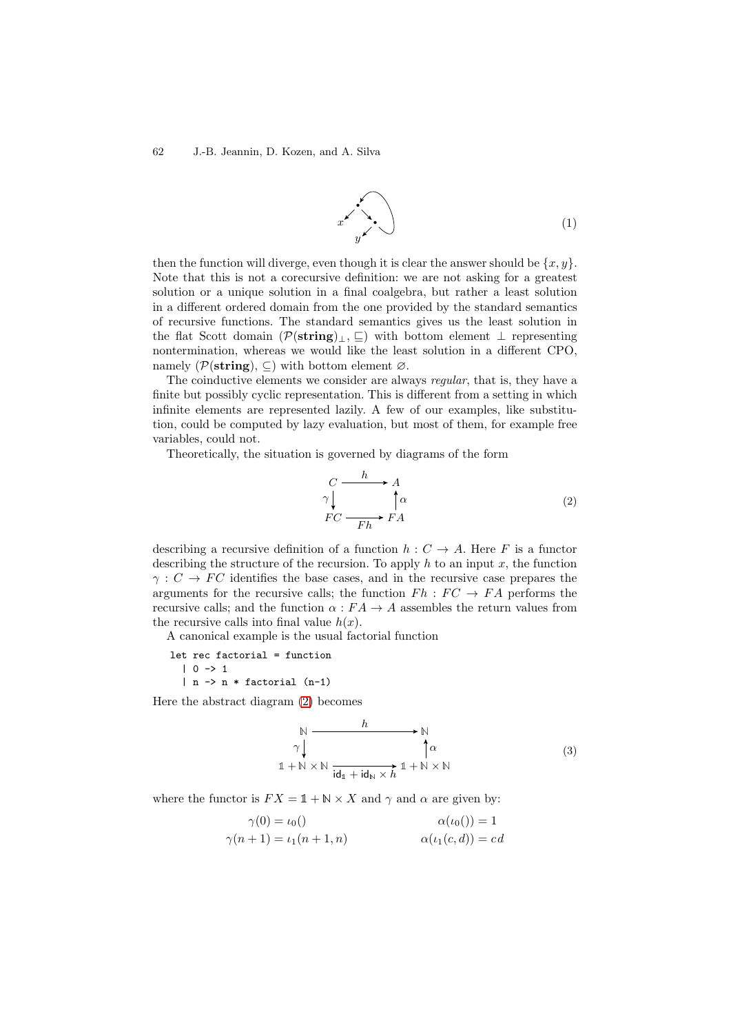$$
\begin{pmatrix} 1 \\ 1 \end{pmatrix}
$$

<span id="page-1-2"></span>then the function will diverge, even though it is clear the answer should be  $\{x, y\}$ . Note that this is not a corecursive definition: we are not asking for a greatest solution or a unique solution in a final coalgebra, but rather a least solution in a different ordered domain from the one provided by the standard semantics of recursive functions. The standard semantics gives us the least solution in the flat Scott domain  $(\mathcal{P}(\textbf{string})_{\perp}, \sqsubseteq)$  with bottom element  $\perp$  representing nontermination, whereas we would like the least solution in a different CPO, namely  $(\mathcal{P}(\textbf{string}), \subseteq)$  with bottom element  $\varnothing$ .

The coinductive elements we consider are always *regular*, that is, they have a finite but possibly cyclic representation. This is different from a setting in which infinite elements are represented lazily. A few of our examples, like substitution, could be computed by lazy evaluation, but most of them, for example free variables, could not.

Theoretically, the situation is governed by diagrams of the form

<span id="page-1-0"></span>
$$
\begin{array}{ccc}\nC & \xrightarrow{h} & A \\
\gamma \downarrow & \uparrow \alpha & \\
FC & \xrightarrow{Fh} & FA\n\end{array} \tag{2}
$$

describing a recursive definition of a function  $h : C \to A$ . Here F is a functor describing the structure of the recursion. To apply h to an input  $x$ , the function  $\gamma : C \to FC$  identifies the base cases, and in the recursive case prepares the arguments for the recursive calls; the function  $Fh : FC \rightarrow FA$  performs the recursive calls; and the function  $\alpha : FA \to A$  assembles the return values from the recursive calls into final value  $h(x)$ .

A canonical example is the usual factorial function

let rec factorial = function  $| 0 \rightarrow 1$ | n -> n \* factorial (n-1)

Here the abstract diagram [\(2\)](#page-1-0) becomes

<span id="page-1-1"></span>
$$
\begin{array}{ccc}\n\mathbb{N} & \xrightarrow{h} & \mathbb{N} \\
\gamma \downarrow & \uparrow \alpha & \\
\mathbb{1} + \mathbb{N} \times \mathbb{N} & \xrightarrow{\mathbf{i} + \mathbf{i} \mathbf{d}_{\mathbb{N}}} \mathbb{N} \\
\mathbb{I} & \xrightarrow{\mathbf{i} + \mathbf{i} \mathbf{d}_{\mathbb{N}}} \mathbb{N}\n\end{array}\n\tag{3}
$$

where the functor is  $FX = \mathbb{1} + \mathbb{N} \times X$  and  $\gamma$  and  $\alpha$  are given by:

$$
\gamma(0) = \iota_0()
$$
  
\n
$$
\gamma(n+1) = \iota_1(n+1, n)
$$
  
\n
$$
\alpha(\iota_0(0)) = 1
$$
  
\n
$$
\alpha(\iota_1(c, d)) = cd
$$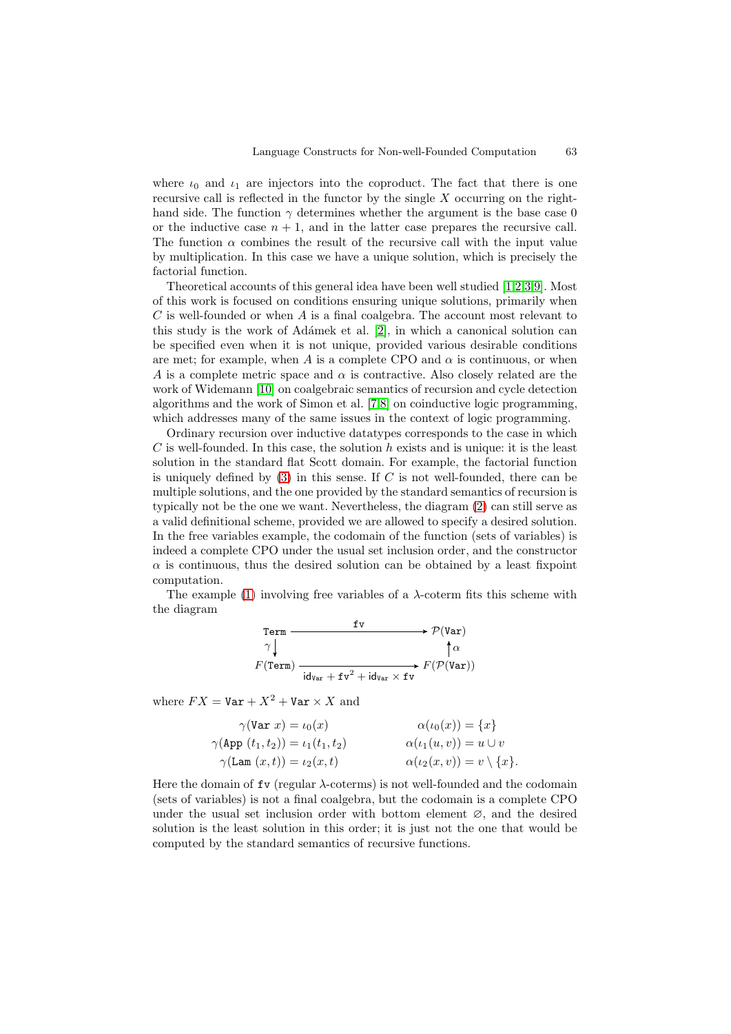where  $\iota_0$  and  $\iota_1$  are injectors into the coproduct. The fact that there is one recursive call is reflected in the functor by the single  $X$  occurring on the righthand side. The function  $\gamma$  determines whether the argument is the base case 0 or the inductive case  $n + 1$ , and in the latter case prepares the recursive call. The function  $\alpha$  combines the result of the recursive call with the input value by multiplication. In this case we have a unique solution, which is precisely the factorial function.

Theoretical accounts of this general idea have been well studied [\[1,](#page-19-1)[2](#page-19-2)[,3](#page-19-3)[,9\]](#page-19-4). Most of this work is focused on conditions ensuring unique solutions, primarily when  $C$  is well-founded or when  $A$  is a final coalgebra. The account most relevant to this study is the work of Adámek et al. [\[2\]](#page-19-2), in which a canonical solution can be specified even when it is not unique, provided various desirable conditions are met; for example, when A is a complete CPO and  $\alpha$  is continuous, or when A is a complete metric space and  $\alpha$  is contractive. Also closely related are the work of Widemann [\[10\]](#page-19-5) on coalgebraic semantics of recursion and cycle detection algorithms and the work of Simon et al. [\[7,](#page-19-6)[8\]](#page-19-7) on coinductive logic programming, which addresses many of the same issues in the context of logic programming.

Ordinary recursion over inductive datatypes corresponds to the case in which  $C$  is well-founded. In this case, the solution h exists and is unique: it is the least solution in the standard flat Scott domain. For example, the factorial function is uniquely defined by  $(3)$  in this sense. If C is not well-founded, there can be multiple solutions, and the one provided by the standard semantics of recursion is typically not be the one we want. Nevertheless, the diagram [\(2\)](#page-1-0) can still serve as a valid definitional scheme, provided we are allowed to specify a desired solution. In the free variables example, the codomain of the function (sets of variables) is indeed a complete CPO under the usual set inclusion order, and the constructor  $\alpha$  is continuous, thus the desired solution can be obtained by a least fixpoint computation.

The example [\(1\)](#page-1-2) involving free variables of a  $\lambda$ -coterm fits this scheme with the diagram

Term 
$$
\xrightarrow{fv} P(Var)
$$
  
\n $\gamma \downarrow \qquad \qquad \uparrow \alpha$   
\n $F(\text{Term}) \xrightarrow[\text{id}_{\text{Var}} + \text{fv}^2 + \text{id}_{\text{Var}} \times \text{fv}} F(\mathcal{P}(\text{Var}))$ 

where  $FX = \text{Var} + X^2 + \text{Var} \times X$  and

$$
\gamma(\text{Var } x) = \iota_0(x) \qquad \alpha(\iota_0(x)) = \{x\}
$$
  

$$
\gamma(\text{App } (t_1, t_2)) = \iota_1(t_1, t_2) \qquad \alpha(\iota_1(u, v)) = u \cup v
$$
  

$$
\gamma(\text{Lam } (x, t)) = \iota_2(x, t) \qquad \alpha(\iota_2(x, v)) = v \setminus \{x\}.
$$

Here the domain of  $f\nu$  (regular  $\lambda$ -coterms) is not well-founded and the codomain (sets of variables) is not a final coalgebra, but the codomain is a complete CPO under the usual set inclusion order with bottom element  $\varnothing$ , and the desired solution is the least solution in this order; it is just not the one that would be computed by the standard semantics of recursive functions.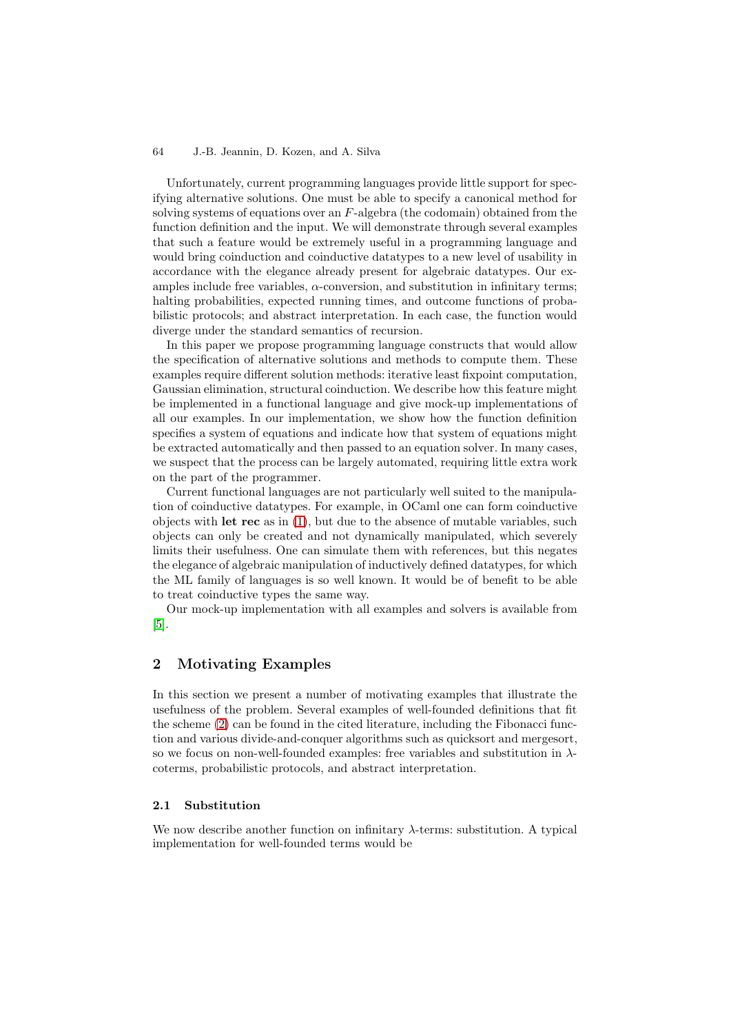Unfortunately, current programming languages provide little support for specifying alternative solutions. One must be able to specify a canonical method for solving systems of equations over an F-algebra (the codomain) obtained from the function definition and the input. We will demonstrate through several examples that such a feature would be extremely useful in a programming language and would bring coinduction and coinductive datatypes to a new level of usability in accordance with the elegance already present for algebraic datatypes. Our examples include free variables,  $\alpha$ -conversion, and substitution in infinitary terms; halting probabilities, expected running times, and outcome functions of probabilistic protocols; and abstract interpretation. In each case, the function would diverge under the standard semantics of recursion.

In this paper we propose programming language constructs that would allow the specification of alternative solutions and methods to compute them. These examples require different solution methods: iterative least fixpoint computation, Gaussian elimination, structural coinduction. We describe how this feature might be implemented in a functional language and give mock-up implementations of all our examples. In our implementation, we show how the function definition specifies a system of equations and indicate how that system of equations might be extracted automatically and then passed to an equation solver. In many cases, we suspect that the process can be largely automated, requiring little extra work on the part of the programmer.

Current functional languages are not particularly well suited to the manipulation of coinductive datatypes. For example, in OCaml one can form coinductive objects with **let rec** as in [\(1\)](#page-1-2), but due to the absence of mutable variables, such objects can only be created and not dynamically manipulated, which severely limits their usefulness. One can simulate them with references, but this negates the elegance of algebraic manipulation of inductively defined datatypes, for which the ML family of languages is so well known. It would be of benefit to be able to treat coinductive types the same way.

Our mock-up implementation with all examples and solvers is available from [\[5\]](#page-19-8).

## <span id="page-3-0"></span>**2 Motivating Examples**

In this section we present a number of motivating examples that illustrate the usefulness of the problem. Several examples of well-founded definitions that fit the scheme [\(2\)](#page-1-0) can be found in the cited literature, including the Fibonacci function and various divide-and-conquer algorithms such as quicksort and mergesort, so we focus on non-well-founded examples: free variables and substitution in  $\lambda$ coterms, probabilistic protocols, and abstract interpretation.

### **2.1 Substitution**

We now describe another function on infinitary  $\lambda$ -terms: substitution. A typical implementation for well-founded terms would be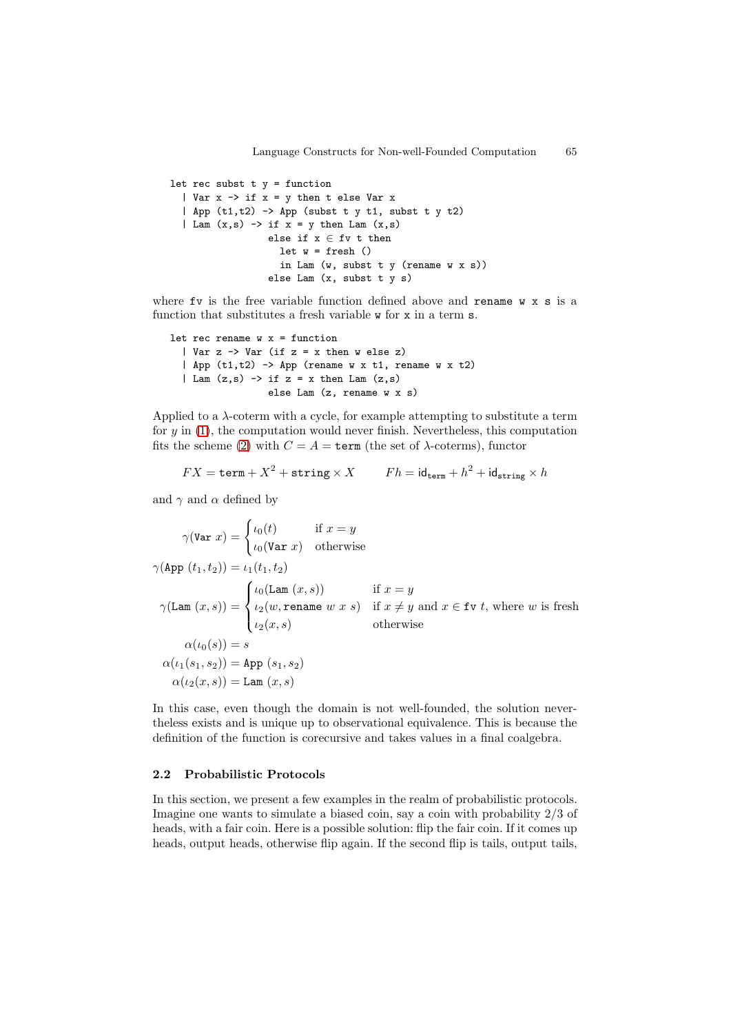```
let rec subst t y = function
  | Var x \rightarrow if x = y then t else Var x
  | App (t1,t2) -> App (subst t y t1, subst t y t2)
  | Lam (x,s) \rightarrow if x = y then Lam (x,s)else if x \in fv t then
                      let w = fresh ()
                      in Lam (w, \text{ subset } t \ y \ (\text{rename } w \ x \ s))else Lam (x, subst t y s)
```
where fv is the free variable function defined above and rename w x s is a function that substitutes a fresh variable  $w$  for  $x$  in a term  $s$ .

```
let rec rename w = function
  | Var z \rightarrow \text{Var} (if z = x then w else z)
  | App (t1,t2) -> App (rename w x t1, rename w x t2)
  | Lam (z,s) \rightarrow if z = x then Lam (z,s)else Lam (z, rename w x s)
```
Applied to a  $\lambda$ -coterm with a cycle, for example attempting to substitute a term for  $y$  in [\(1\)](#page-1-2), the computation would never finish. Nevertheless, this computation fits the scheme [\(2\)](#page-1-0) with  $C = A = \text{term}$  (the set of  $\lambda$ -coterms), functor

$$
FX = \texttt{term} + X^2 + \texttt{string} \times X \qquad Fh = \text{id}_{\texttt{term}} + h^2 + \text{id}_{\texttt{string}} \times h
$$

and  $\gamma$  and  $\alpha$  defined by

$$
\gamma(\text{Var } x) = \begin{cases} \iota_0(t) & \text{if } x = y \\ \iota_0(\text{Var } x) & \text{otherwise} \end{cases}
$$
  

$$
\gamma(\text{App } (t_1, t_2)) = \iota_1(t_1, t_2)
$$
  

$$
\gamma(\text{Lam } (x, s)) = \begin{cases} \iota_0(\text{Lam } (x, s)) & \text{if } x = y \\ \iota_2(w, \text{rename } w \ x \ s) & \text{if } x \neq y \text{ and } x \in \text{fv } t, \text{ where } w \text{ is fresh} \\ \iota_2(x, s) & \text{otherwise} \end{cases}
$$
  

$$
\alpha(\iota_0(s)) = s
$$
  

$$
\alpha(\iota_1(s_1, s_2)) = \text{App } (s_1, s_2)
$$
  

$$
\alpha(\iota_2(x, s)) = \text{Lam } (x, s)
$$

In this case, even though the domain is not well-founded, the solution nevertheless exists and is unique up to observational equivalence. This is because the definition of the function is corecursive and takes values in a final coalgebra.

### <span id="page-4-0"></span>**2.2 Probabilistic Protocols**

In this section, we present a few examples in the realm of probabilistic protocols. Imagine one wants to simulate a biased coin, say a coin with probability 2/3 of heads, with a fair coin. Here is a possible solution: flip the fair coin. If it comes up heads, output heads, otherwise flip again. If the second flip is tails, output tails,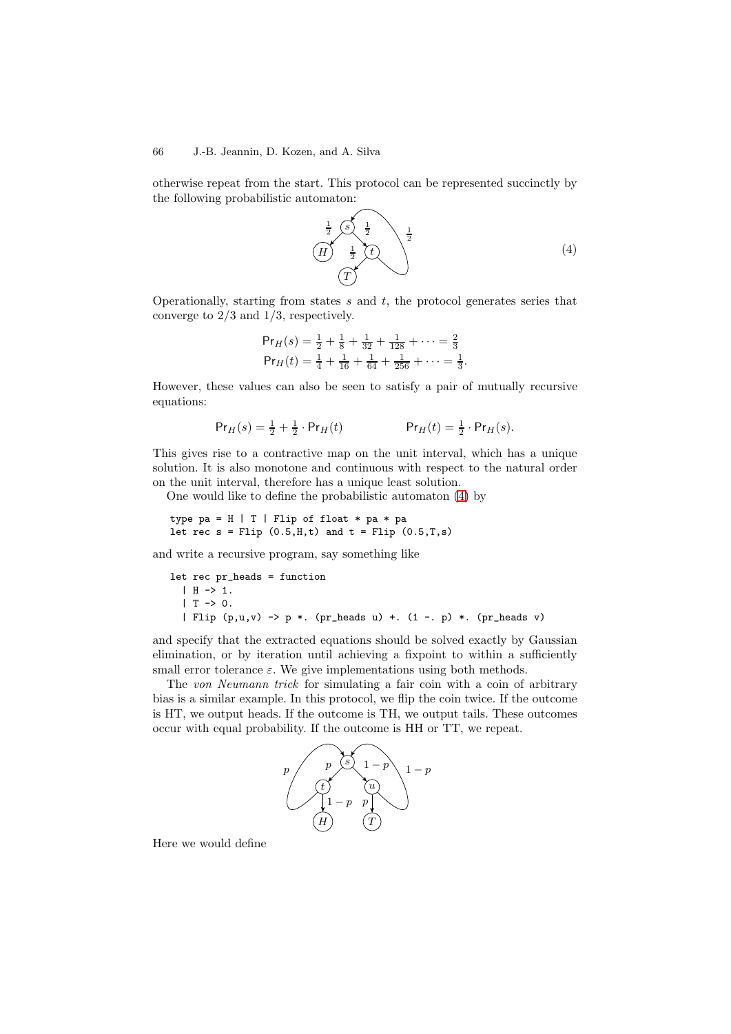otherwise repeat from the start. This protocol can be represented succinctly by the following probabilistic automaton:

<span id="page-5-0"></span>

Operationally, starting from states  $s$  and  $t$ , the protocol generates series that converge to 2/3 and 1/3, respectively.

$$
Pr_H(s) = \frac{1}{2} + \frac{1}{8} + \frac{1}{32} + \frac{1}{128} + \dots = \frac{2}{3}
$$
  
\n
$$
Pr_H(t) = \frac{1}{4} + \frac{1}{16} + \frac{1}{64} + \frac{1}{256} + \dots = \frac{1}{3}.
$$

However, these values can also be seen to satisfy a pair of mutually recursive equations:

$$
\Pr_H(s) = \frac{1}{2} + \frac{1}{2} \cdot \Pr_H(t) \qquad \Pr_H(t) = \frac{1}{2} \cdot \Pr_H(s).
$$

This gives rise to a contractive map on the unit interval, which has a unique solution. It is also monotone and continuous with respect to the natural order on the unit interval, therefore has a unique least solution.

One would like to define the probabilistic automaton [\(4\)](#page-5-0) by

type  $pa = H | T |$  Flip of float  $* pa * pa$ let rec  $s =$  Flip  $(0.5,H,t)$  and  $t =$  Flip  $(0.5,T,s)$ 

and write a recursive program, say something like

let rec pr\_heads = function | H -> 1. | T -> 0. | Flip (p,u,v) -> p \*. (pr\_heads u) +. (1 -. p) \*. (pr\_heads v)

and specify that the extracted equations should be solved exactly by Gaussian elimination, or by iteration until achieving a fixpoint to within a sufficiently small error tolerance  $\varepsilon$ . We give implementations using both methods.

The *von Neumann trick* for simulating a fair coin with a coin of arbitrary bias is a similar example. In this protocol, we flip the coin twice. If the outcome is HT, we output heads. If the outcome is TH, we output tails. These outcomes occur with equal probability. If the outcome is HH or TT, we repeat.



Here we would define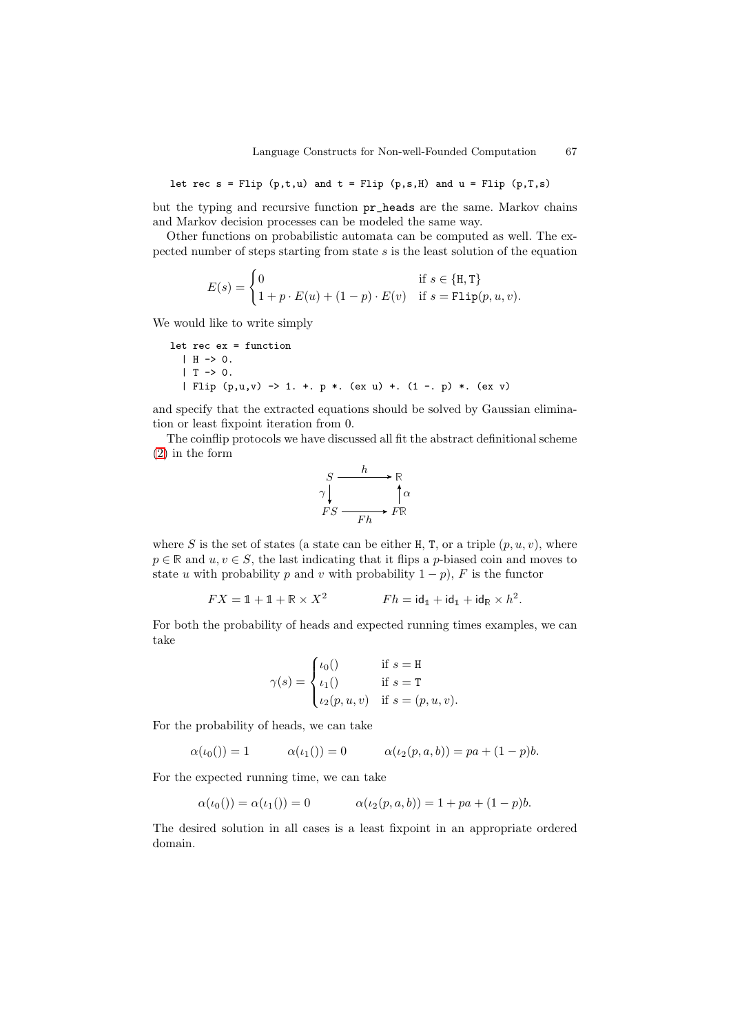let rec  $s =$  Flip  $(p, t, u)$  and  $t =$  Flip  $(p, s, H)$  and  $u =$  Flip  $(p, T, s)$ 

but the typing and recursive function pr\_heads are the same. Markov chains and Markov decision processes can be modeled the same way.

Other functions on probabilistic automata can be computed as well. The expected number of steps starting from state  $s$  is the least solution of the equation

$$
E(s) = \begin{cases} 0 & \text{if } s \in \{\text{H}, \text{T}\} \\ 1 + p \cdot E(u) + (1 - p) \cdot E(v) & \text{if } s = \text{Flip}(p, u, v). \end{cases}
$$

We would like to write simply

let rec ex = function | H -> 0. | T -> 0. | Flip (p,u,v) -> 1. +. p \*. (ex u) +. (1 -. p) \*. (ex v)

and specify that the extracted equations should be solved by Gaussian elimination or least fixpoint iteration from 0.

The coinflip protocols we have discussed all fit the abstract definitional scheme [\(2\)](#page-1-0) in the form

$$
\begin{array}{ccc}\nS & \xrightarrow{h} & \mathbb{R} \\
\gamma \downarrow & & \uparrow \alpha \\
\hline\nF S & \xrightarrow{Fh} & F\mathbb{R}\n\end{array}
$$

where S is the set of states (a state can be either H, T, or a triple  $(p, u, v)$ , where  $p \in \mathbb{R}$  and  $u, v \in S$ , the last indicating that it flips a p-biased coin and moves to state u with probability p and v with probability  $1 - p$ ), F is the functor

$$
FX = 1 + 1 + \mathbb{R} \times X^2
$$
  

$$
Fh = id_1 + id_1 + id_{\mathbb{R}} \times h^2.
$$

For both the probability of heads and expected running times examples, we can take

$$
\gamma(s) = \begin{cases} \iota_0() & \text{if } s = \mathcal{H} \\ \iota_1() & \text{if } s = \mathcal{T} \\ \iota_2(p, u, v) & \text{if } s = (p, u, v). \end{cases}
$$

For the probability of heads, we can take

$$
\alpha(\iota_0()) = 1
$$
  $\alpha(\iota_1()) = 0$   $\alpha(\iota_2(p, a, b)) = pa + (1 - p)b.$ 

For the expected running time, we can take

$$
\alpha(\iota_0()) = \alpha(\iota_1()) = 0 \qquad \alpha(\iota_2(p, a, b)) = 1 + pa + (1 - p)b.
$$

The desired solution in all cases is a least fixpoint in an appropriate ordered domain.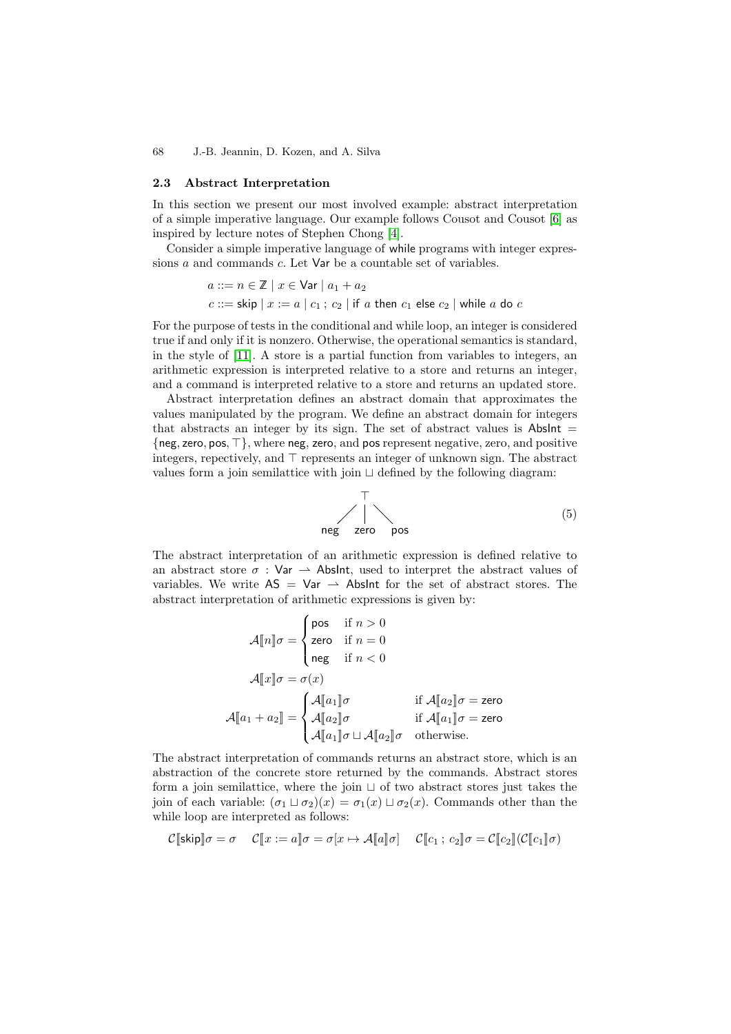### **2.3 Abstract Interpretation**

In this section we present our most involved example: abstract interpretation of a simple imperative language. Our example follows Cousot and Cousot [\[6\]](#page-19-9) as inspired by lecture notes of Stephen Chong [\[4\]](#page-19-10).

Consider a simple imperative language of while programs with integer expressions a and commands c. Let Var be a countable set of variables.

$$
a ::= n \in \mathbb{Z} \mid x \in \text{Var} \mid a_1 + a_2
$$
  

$$
c ::= \text{skip} \mid x := a \mid c_1 ; c_2 \mid \text{if} \ a \text{ then } c_1 \text{ else } c_2 \mid \text{while} \ a \text{ do } c
$$

For the purpose of tests in the conditional and while loop, an integer is considered true if and only if it is nonzero. Otherwise, the operational semantics is standard, in the style of [\[11\]](#page-19-11). A store is a partial function from variables to integers, an arithmetic expression is interpreted relative to a store and returns an integer, and a command is interpreted relative to a store and returns an updated store.

Abstract interpretation defines an abstract domain that approximates the values manipulated by the program. We define an abstract domain for integers that abstracts an integer by its sign. The set of abstract values is  $\lambda$ bsInt =  $\{neg, zero, pos, \top\},$  where neg, zero, and pos represent negative, zero, and positive integers, repectively, and  $\top$  represents an integer of unknown sign. The abstract values form a join semilattice with join  $\sqcup$  defined by the following diagram:

$$
\begin{array}{c}\n \uparrow \\
 \downarrow \\
 \uparrow \\
 \text{neg} \\
 \downarrow\n \end{array}
$$
\n(5)

The abstract interpretation of an arithmetic expression is defined relative to an abstract store  $\sigma$ : Var  $\rightarrow$  AbsInt, used to interpret the abstract values of variables. We write  $AS = Var \rightarrow AbsInt$  for the set of abstract stores. The abstract interpretation of arithmetic expressions is given by:

$$
\mathcal{A}[\![n]\!] \sigma = \begin{cases}\n\text{pos} & \text{if } n > 0 \\
\text{zero} & \text{if } n = 0 \\
\text{neg} & \text{if } n < 0\n\end{cases}
$$
\n
$$
\mathcal{A}[\![x]\!] \sigma = \sigma(x)
$$
\n
$$
\mathcal{A}[\![a_1]\!] \sigma \qquad \text{if } \mathcal{A}[\![a_2]\!] \sigma = \text{zero}
$$
\n
$$
\mathcal{A}[\![a_1 + a_2]\!] = \begin{cases}\n\mathcal{A}[\![a_1]\!] \sigma & \text{if } \mathcal{A}[\![a_2]\!] \sigma = \text{zero} \\
\mathcal{A}[\![a_1]\!] \sigma \sqcup \mathcal{A}[\![a_2]\!] \sigma & \text{otherwise.}\n\end{cases}
$$

The abstract interpretation of commands returns an abstract store, which is an abstraction of the concrete store returned by the commands. Abstract stores form a join semilattice, where the join  $\sqcup$  of two abstract stores just takes the join of each variable:  $(\sigma_1 \sqcup \sigma_2)(x) = \sigma_1(x) \sqcup \sigma_2(x)$ . Commands other than the while loop are interpreted as follows:

$$
\mathcal{C}[\![\textsf{skip}]\!] \sigma = \sigma \quad \ \mathcal{C}[\![x := a]\!] \sigma = \sigma[x \mapsto \mathcal{A}[\![a]\!] \sigma ] \quad \ \mathcal{C}[\![c_1 \, ; \, c_2]\!] \sigma = \mathcal{C}[\![c_2]\!] (\mathcal{C}[\![c_1]\!] \sigma)
$$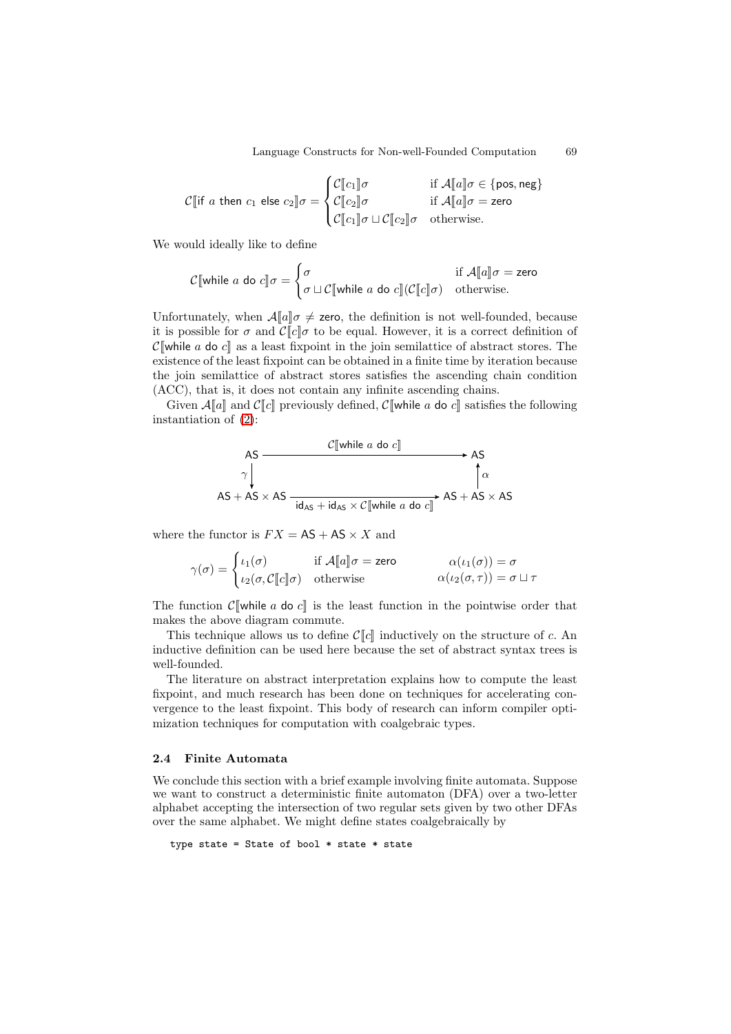$$
\mathcal{C}[\![\text{if } a \text{ then } c_1 \text{ else } c_2]\!] \sigma = \begin{cases} \mathcal{C}[\![c_1]\!] \sigma & \text{if } \mathcal{A}[\![a]\!] \sigma \in \{\text{pos}, \text{neg}\} \\ \mathcal{C}[\![c_2]\!] \sigma & \text{if } \mathcal{A}[\![a]\!] \sigma = \text{zero} \\ \mathcal{C}[\![c_1]\!] \sigma \sqcup \mathcal{C}[\![c_2]\!] \sigma & \text{otherwise.} \end{cases}
$$

We would ideally like to define

$$
C[\![\text{while } a \text{ do } c]\!] \sigma = \begin{cases} \sigma & \text{if } A[\![a]\!] \sigma = {\sf zero} \\ \sigma \sqcup C[\![\text{while } a \text{ do } c]\!] (C[\![c]\!] \sigma) & \text{otherwise.} \end{cases}
$$

Unfortunately, when  $\mathcal{A}[\![a]\!] \sigma \neq \text{zero}$ , the definition is not well-founded, because it is possible for  $\sigma$  and  $\mathcal{C}[[c]]\sigma$  to be equal. However, it is a correct definition of  $\mathcal{C}$  while a do  $c$  as a least fixpoint in the join semilattice of abstract stores. The existence of the least fixpoint can be obtained in a finite time by iteration because the join semilattice of abstract stores satisfies the ascending chain condition (ACC), that is, it does not contain any infinite ascending chains.

Given  $\mathcal{A}[\![a]\!]$  and  $\mathcal{C}[\![c]\!]$  previously defined,  $\mathcal{C}[\![\mathsf{while}\;a\;\mathsf{do}\;c]\!]$  satisfies the following instantiation of [\(2\)](#page-1-0):

$$
\begin{array}{ccc}\n & C[\text{while } a \text{ do } c] & & A\text{S} \\
\gamma & & \uparrow \alpha & & \uparrow \alpha \\
 & A\text{S} + \text{AS} \times \text{AS} & \xrightarrow[\text{id}_{\text{AS}} + \text{id}_{\text{AS}} \times C[\text{while } a \text{ do } c]] & & A\text{S} + \text{AS} \times \text{AS} \\
\end{array}
$$

where the functor is  $FX = AS + AS \times X$  and

$$
\gamma(\sigma) = \begin{cases} \iota_1(\sigma) & \text{if } A[\![a]\!] \sigma = \text{zero} & \alpha(\iota_1(\sigma)) = \sigma \\ \iota_2(\sigma, C[\![c]\!] \sigma) & \text{otherwise} & \alpha(\iota_2(\sigma, \tau)) = \sigma \sqcup \tau \end{cases}
$$

The function  $\mathcal{C}[\![\mathsf{while}\; a\;\mathsf{do}\; c]\!]$  is the least function in the pointwise order that makes the above diagram commute.

This technique allows us to define  $\mathcal{C}[[c]]$  inductively on the structure of c. An inductive definition can be used here because the set of abstract syntax trees is well-founded.

The literature on abstract interpretation explains how to compute the least fixpoint, and much research has been done on techniques for accelerating convergence to the least fixpoint. This body of research can inform compiler optimization techniques for computation with coalgebraic types.

### **2.4 Finite Automata**

We conclude this section with a brief example involving finite automata. Suppose we want to construct a deterministic finite automaton (DFA) over a two-letter alphabet accepting the intersection of two regular sets given by two other DFAs over the same alphabet. We might define states coalgebraically by

type state = State of bool  $*$  state  $*$  state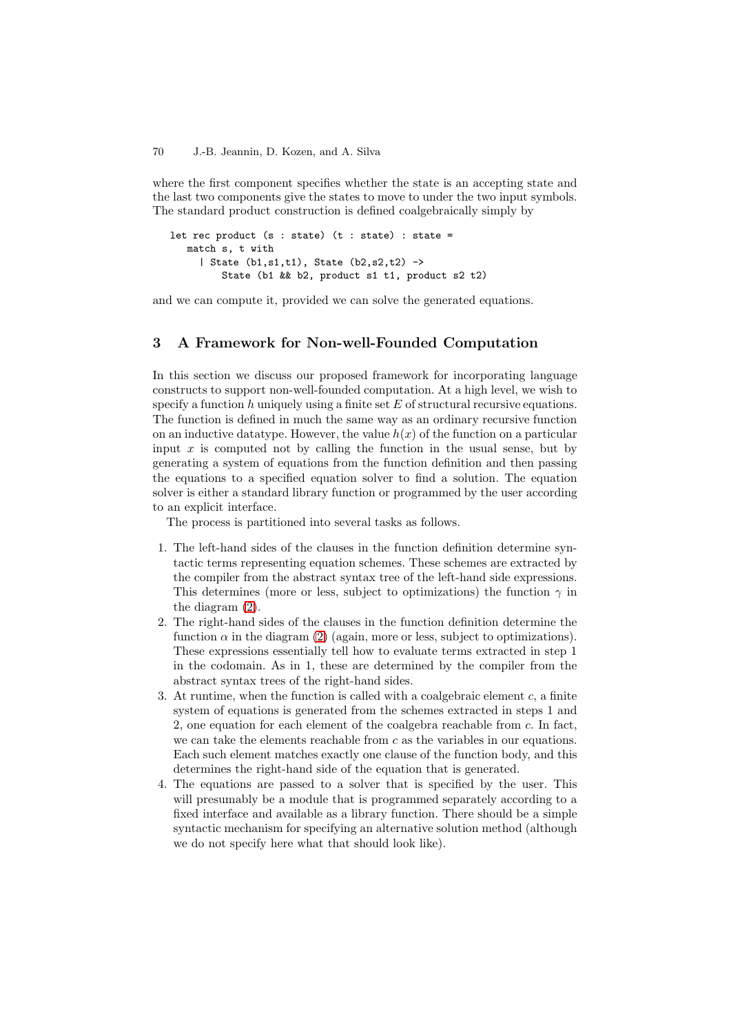where the first component specifies whether the state is an accepting state and the last two components give the states to move to under the two input symbols. The standard product construction is defined coalgebraically simply by

```
let rec product (s : state) (t : state) : state =match s, t with
     | State (b1,s1,t1), State (b2,s2,t2) ->
         State (b1 && b2, product s1 t1, product s2 t2)
```
and we can compute it, provided we can solve the generated equations.

### **3 A Framework for Non-well-Founded Computation**

In this section we discuss our proposed framework for incorporating language constructs to support non-well-founded computation. At a high level, we wish to specify a function  $h$  uniquely using a finite set  $E$  of structural recursive equations. The function is defined in much the same way as an ordinary recursive function on an inductive datatype. However, the value  $h(x)$  of the function on a particular input  $x$  is computed not by calling the function in the usual sense, but by generating a system of equations from the function definition and then passing the equations to a specified equation solver to find a solution. The equation solver is either a standard library function or programmed by the user according to an explicit interface.

The process is partitioned into several tasks as follows.

- 1. The left-hand sides of the clauses in the function definition determine syntactic terms representing equation schemes. These schemes are extracted by the compiler from the abstract syntax tree of the left-hand side expressions. This determines (more or less, subject to optimizations) the function  $\gamma$  in the diagram [\(2\)](#page-1-0).
- 2. The right-hand sides of the clauses in the function definition determine the function  $\alpha$  in the diagram [\(2\)](#page-1-0) (again, more or less, subject to optimizations). These expressions essentially tell how to evaluate terms extracted in step 1 in the codomain. As in 1, these are determined by the compiler from the abstract syntax trees of the right-hand sides.
- 3. At runtime, when the function is called with a coalgebraic element  $c$ , a finite system of equations is generated from the schemes extracted in steps 1 and 2, one equation for each element of the coalgebra reachable from c. In fact, we can take the elements reachable from  $c$  as the variables in our equations. Each such element matches exactly one clause of the function body, and this determines the right-hand side of the equation that is generated.
- 4. The equations are passed to a solver that is specified by the user. This will presumably be a module that is programmed separately according to a fixed interface and available as a library function. There should be a simple syntactic mechanism for specifying an alternative solution method (although we do not specify here what that should look like).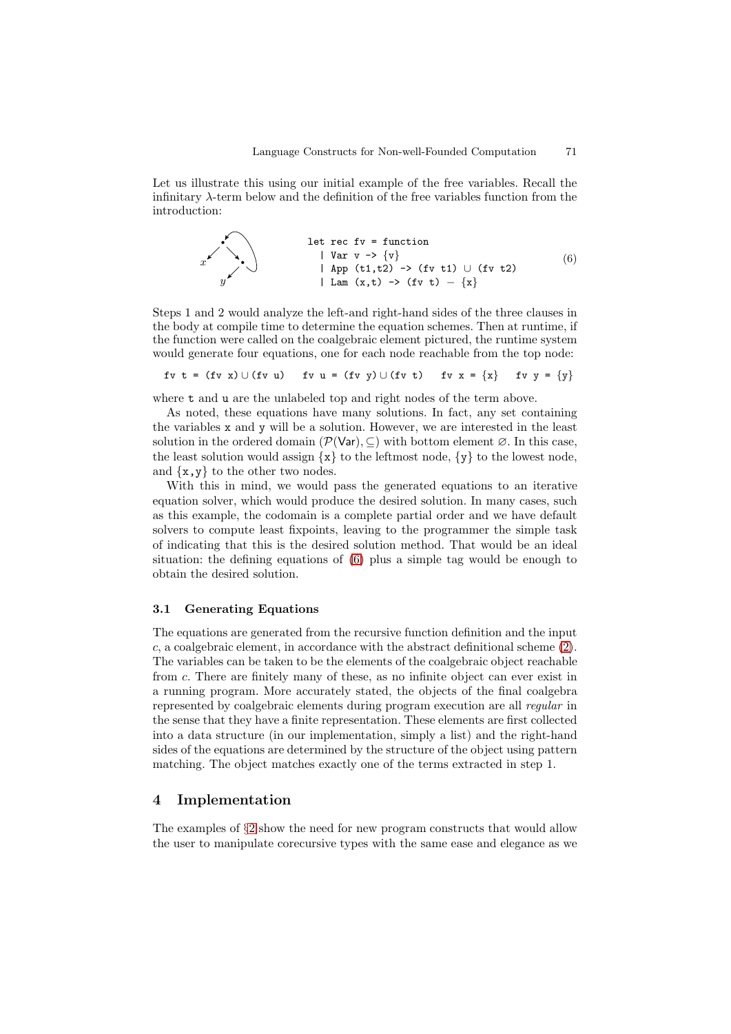Let us illustrate this using our initial example of the free variables. Recall the infinitary λ-term below and the definition of the free variables function from the introduction:

<span id="page-10-0"></span>
$$
x
$$
\n
$$
y
$$
\n
$$
y
$$
\n
$$
y
$$
\n
$$
y
$$
\n
$$
y
$$
\n
$$
y
$$
\n
$$
y
$$
\n
$$
y
$$
\n
$$
y
$$
\n
$$
y
$$
\n
$$
y
$$
\n
$$
y
$$
\n
$$
y
$$
\n
$$
y
$$
\n
$$
y
$$
\n
$$
y
$$
\n
$$
y
$$
\n
$$
y
$$
\n
$$
y
$$
\n
$$
y
$$
\n
$$
y
$$
\n
$$
y
$$
\n
$$
y
$$
\n
$$
y
$$
\n
$$
y
$$
\n
$$
y
$$
\n
$$
y
$$
\n
$$
y
$$
\n
$$
y
$$
\n
$$
y
$$
\n
$$
y
$$
\n
$$
y
$$
\n
$$
y
$$
\n
$$
y
$$
\n
$$
y
$$
\n
$$
y
$$
\n
$$
y
$$
\n
$$
y
$$
\n
$$
y
$$
\n
$$
y
$$
\n
$$
y
$$
\n
$$
y
$$
\n
$$
y
$$
\n
$$
y
$$
\n
$$
y
$$
\n
$$
y
$$
\n
$$
y
$$
\n
$$
y
$$
\n
$$
y
$$
\n
$$
y
$$
\n
$$
y
$$
\n
$$
y
$$
\n
$$
y
$$
\n
$$
y
$$
\n
$$
y
$$
\n
$$
y
$$
\n
$$
y
$$
\n
$$
y
$$
\n
$$
y
$$
\n
$$
y
$$
\n
$$
y
$$
\n
$$
y
$$
\n
$$
y
$$
\n
$$
y
$$
\n
$$
y
$$
\n
$$
y
$$
\n
$$
y
$$
\n
$$
y
$$
\n

Steps 1 and 2 would analyze the left-and right-hand sides of the three clauses in the body at compile time to determine the equation schemes. Then at runtime, if the function were called on the coalgebraic element pictured, the runtime system would generate four equations, one for each node reachable from the top node:

fv t = (fv x)∪ (fv u) fv u = (fv y)∪ (fv t) fv x = {x} fv y = {y}

where  $t$  and  $u$  are the unlabeled top and right nodes of the term above.

As noted, these equations have many solutions. In fact, any set containing the variables x and y will be a solution. However, we are interested in the least solution in the ordered domain  $(\mathcal{P}(\text{Var}), \subseteq)$  with bottom element  $\emptyset$ . In this case, the least solution would assign  $\{x\}$  to the leftmost node,  $\{y\}$  to the lowest node, and  $\{x, y\}$  to the other two nodes.

With this in mind, we would pass the generated equations to an iterative equation solver, which would produce the desired solution. In many cases, such as this example, the codomain is a complete partial order and we have default solvers to compute least fixpoints, leaving to the programmer the simple task of indicating that this is the desired solution method. That would be an ideal situation: the defining equations of [\(6\)](#page-10-0) plus a simple tag would be enough to obtain the desired solution.

### **3.1 Generating Equations**

The equations are generated from the recursive function definition and the input  $c$ , a coalgebraic element, in accordance with the abstract definitional scheme  $(2)$ . The variables can be taken to be the elements of the coalgebraic object reachable from c. There are finitely many of these, as no infinite object can ever exist in a running program. More accurately stated, the objects of the final coalgebra represented by coalgebraic elements during program execution are all *regular* in the sense that they have a finite representation. These elements are first collected into a data structure (in our implementation, simply a list) and the right-hand sides of the equations are determined by the structure of the object using pattern matching. The object matches exactly one of the terms extracted in step 1.

### <span id="page-10-1"></span>**4 Implementation**

The examples of §[2](#page-3-0) show the need for new program constructs that would allow the user to manipulate corecursive types with the same ease and elegance as we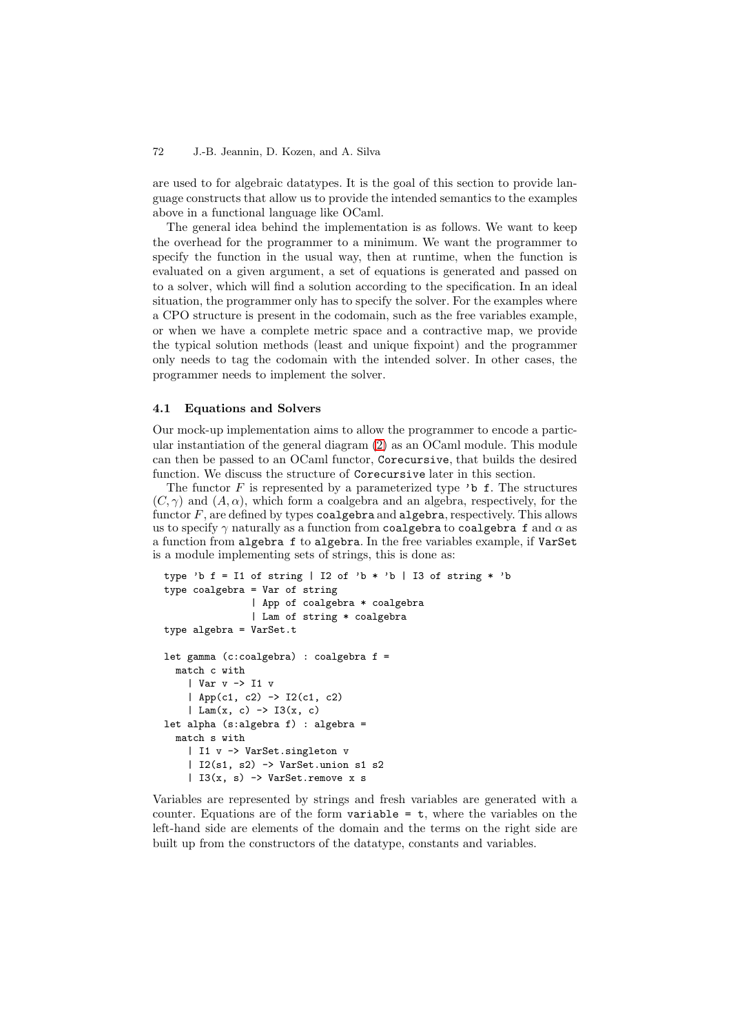are used to for algebraic datatypes. It is the goal of this section to provide language constructs that allow us to provide the intended semantics to the examples above in a functional language like OCaml.

The general idea behind the implementation is as follows. We want to keep the overhead for the programmer to a minimum. We want the programmer to specify the function in the usual way, then at runtime, when the function is evaluated on a given argument, a set of equations is generated and passed on to a solver, which will find a solution according to the specification. In an ideal situation, the programmer only has to specify the solver. For the examples where a CPO structure is present in the codomain, such as the free variables example, or when we have a complete metric space and a contractive map, we provide the typical solution methods (least and unique fixpoint) and the programmer only needs to tag the codomain with the intended solver. In other cases, the programmer needs to implement the solver.

### **4.1 Equations and Solvers**

Our mock-up implementation aims to allow the programmer to encode a particular instantiation of the general diagram [\(2\)](#page-1-0) as an OCaml module. This module can then be passed to an OCaml functor, Corecursive, that builds the desired function. We discuss the structure of Corecursive later in this section.

The functor  $F$  is represented by a parameterized type  $\lambda$  is f. The structures  $(C, \gamma)$  and  $(A, \alpha)$ , which form a coalgebra and an algebra, respectively, for the functor  $F$ , are defined by types coalgebra and algebra, respectively. This allows us to specify  $\gamma$  naturally as a function from coalgebra to coalgebra f and  $\alpha$  as a function from algebra f to algebra. In the free variables example, if VarSet is a module implementing sets of strings, this is done as:

```
type 'b f = I1 of string | I2 of 'b * 'b | I3 of string * 'b
type coalgebra = Var of string
                | App of coalgebra * coalgebra
                | Lam of string * coalgebra
type algebra = VarSet.t
let gamma (c:coalgebra) : coalgebra f =
  match c with
    | Var v -> I1 v
    | App(c1, c2) \rightarrow I2(c1, c2)
    | Lam(x, c) \rightarrow I3(x, c)
let alpha (s:algebra f) : algebra =
  match s with
    | I1 v -> VarSet.singleton v
    | I2(s1, s2) -> VarSet.union s1 s2
    | I3(x, s) \rightarrow VarSet.remove x s
```
Variables are represented by strings and fresh variables are generated with a counter. Equations are of the form variable  $=$  t, where the variables on the left-hand side are elements of the domain and the terms on the right side are built up from the constructors of the datatype, constants and variables.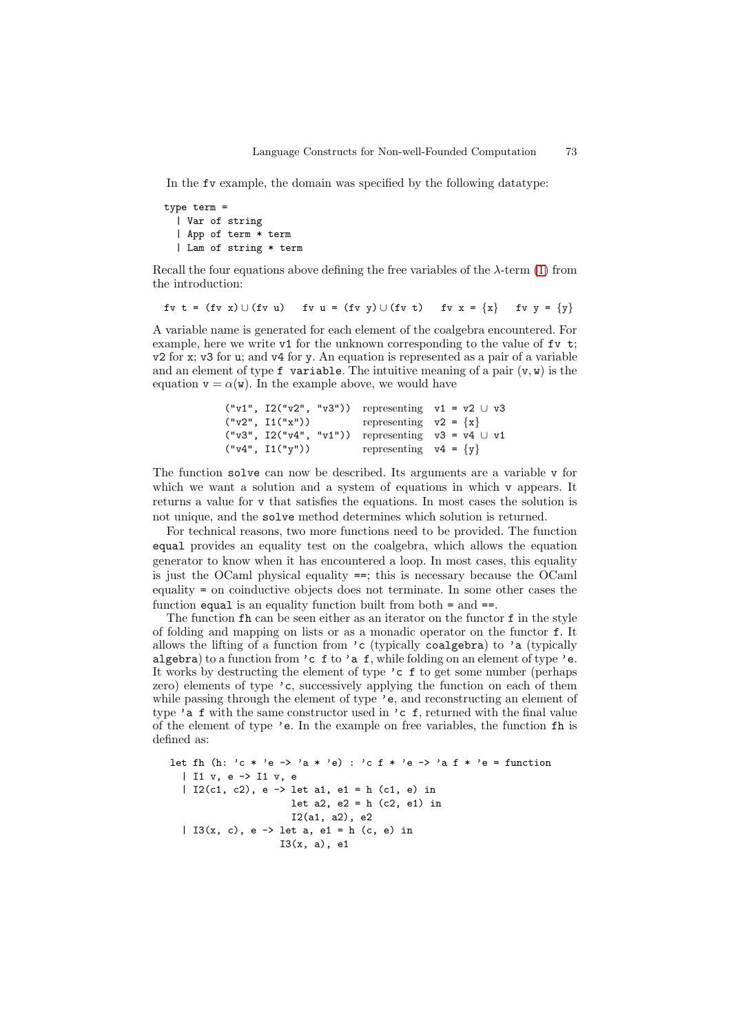In the fv example, the domain was specified by the following datatype:

type term = | Var of string | App of term \* term | Lam of string \* term

Recall the four equations above defining the free variables of the  $\lambda$ -term [\(1\)](#page-1-2) from the introduction:

$$
f v t = (f v x) \cup (f v u) \qquad f v u = (f v y) \cup (f v t) \qquad f v x = \{x\} \qquad f v y = \{y\}
$$

A variable name is generated for each element of the coalgebra encountered. For example, here we write  $v1$  for the unknown corresponding to the value of  $f v t$ ; v2 for x; v3 for u; and v4 for y. An equation is represented as a pair of a variable and an element of type  $f$  variable. The intuitive meaning of a pair  $(v, w)$  is the equation  $\mathbf{v} = \alpha(\mathbf{w})$ . In the example above, we would have

```
("v1", I2("v2", "v3")) representing v1 = v2 ∪ v3
("v2", I1("x")) representing v2 = \{x\}("v3", I2("v4", "v1")) representing v3 = v4 \cup v1<br>("v4", I1("y")) representing v4 = \{v\}representing v4 = \{y\}
```
The function solve can now be described. Its arguments are a variable v for which we want a solution and a system of equations in which v appears. It returns a value for v that satisfies the equations. In most cases the solution is not unique, and the solve method determines which solution is returned.

For technical reasons, two more functions need to be provided. The function equal provides an equality test on the coalgebra, which allows the equation generator to know when it has encountered a loop. In most cases, this equality is just the OCaml physical equality ==; this is necessary because the OCaml equality = on coinductive objects does not terminate. In some other cases the function equal is an equality function built from both  $=$  and  $==$ .

The function fh can be seen either as an iterator on the functor f in the style of folding and mapping on lists or as a monadic operator on the functor f. It allows the lifting of a function from 'c (typically coalgebra) to 'a (typically algebra) to a function from 'c f to 'a f, while folding on an element of type 'e. It works by destructing the element of type 'c f to get some number (perhaps zero) elements of type 'c, successively applying the function on each of them while passing through the element of type 'e, and reconstructing an element of type 'a f with the same constructor used in 'c f, returned with the final value of the element of type 'e. In the example on free variables, the function fh is defined as:

```
let fh (h: 'c * 'e -> 'a * 'e) : 'c f * 'e -> 'a f * 'e = function| I1 v, e -> I1 v, e
  | I2(c1, c2), e -> let a1, e1 = h (c1, e) in
                     let a2, e2 = h (c2, e1) in
                     I2(a1, a2), e2
  | I3(x, c), e \rightarrow let a, e1 = h (c, e) in
                   I3(x, a), e1
```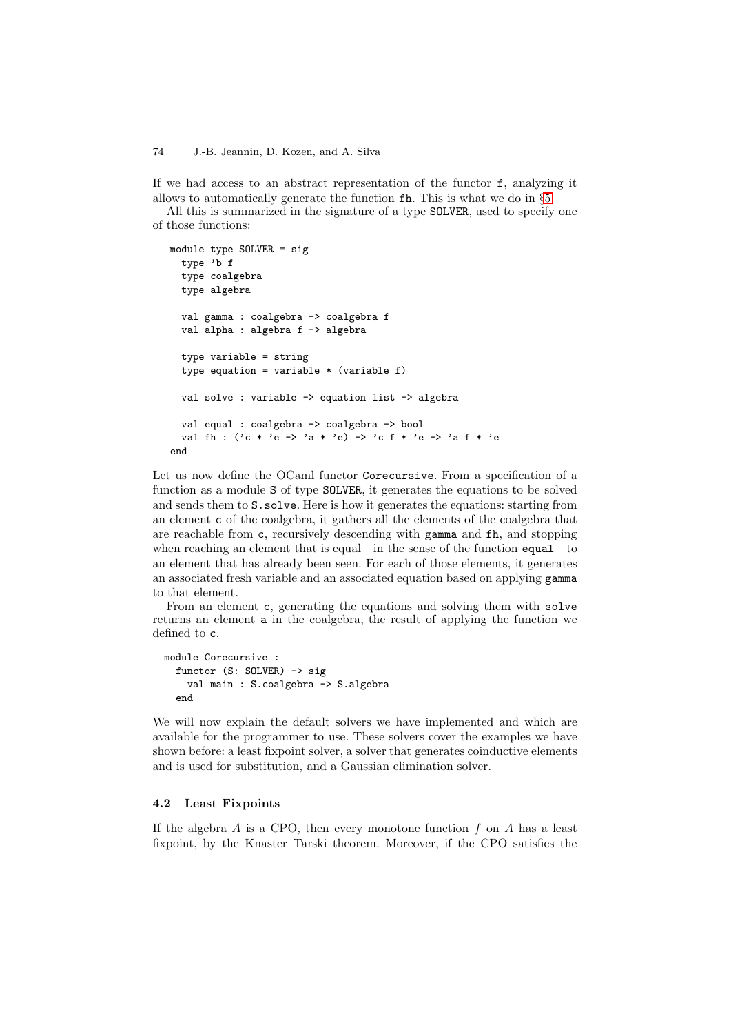If we had access to an abstract representation of the functor f, analyzing it allows to automatically generate the function fh. This is what we do in §[5.](#page-16-0)

All this is summarized in the signature of a type SOLVER, used to specify one of those functions:

```
module type SOLVER = sig
  type 'b f
  type coalgebra
  type algebra
  val gamma : coalgebra -> coalgebra f
  val alpha : algebra f -> algebra
  type variable = string
  type equation = variable * (variable f)
  val solve : variable -> equation list -> algebra
  val equal : coalgebra -> coalgebra -> bool
  val fh : ('c * 'e -> 'a * 'e) -> 'c f * 'e -> 'a f * 'eend
```
Let us now define the OCaml functor Corecursive. From a specification of a function as a module S of type SOLVER, it generates the equations to be solved and sends them to S.solve. Here is how it generates the equations: starting from an element c of the coalgebra, it gathers all the elements of the coalgebra that are reachable from  $\sigma$ , recursively descending with gamma and  $f$ h, and stopping when reaching an element that is equal—in the sense of the function equal—to an element that has already been seen. For each of those elements, it generates an associated fresh variable and an associated equation based on applying gamma to that element.

From an element c, generating the equations and solving them with solve returns an element a in the coalgebra, the result of applying the function we defined to c.

```
module Corecursive :
  functor (S: SOLVER) -> sig
    val main : S.coalgebra -> S.algebra
  end
```
We will now explain the default solvers we have implemented and which are available for the programmer to use. These solvers cover the examples we have shown before: a least fixpoint solver, a solver that generates coinductive elements and is used for substitution, and a Gaussian elimination solver.

### **4.2 Least Fixpoints**

If the algebra  $A$  is a CPO, then every monotone function  $f$  on  $A$  has a least fixpoint, by the Knaster–Tarski theorem. Moreover, if the CPO satisfies the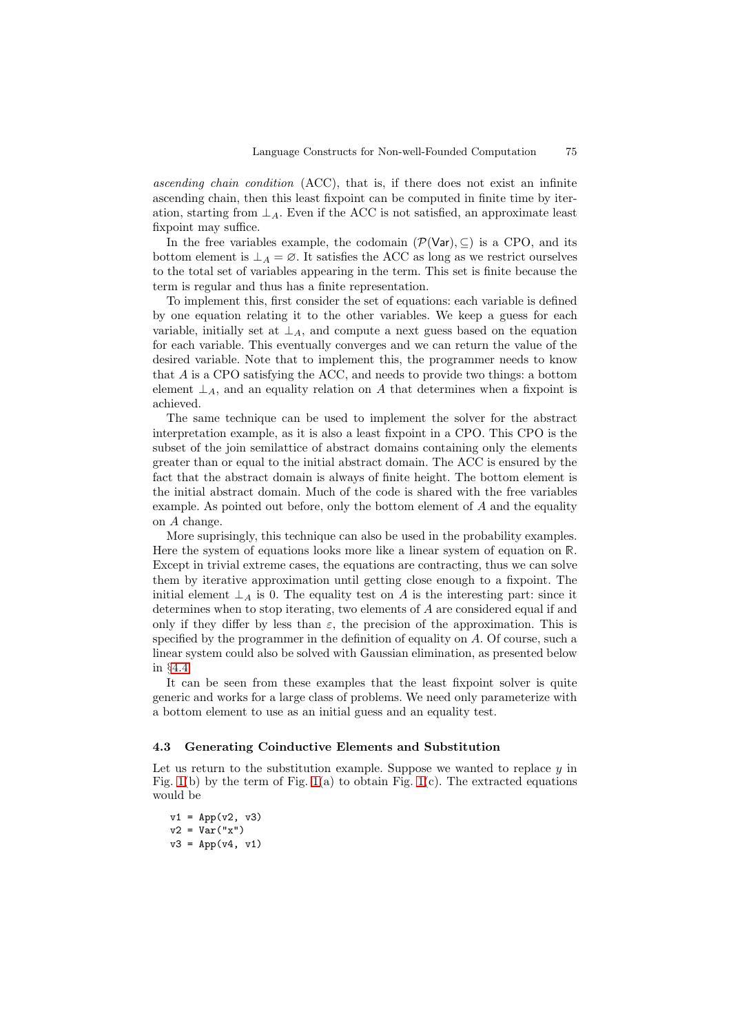*ascending chain condition* (ACC), that is, if there does not exist an infinite ascending chain, then this least fixpoint can be computed in finite time by iteration, starting from  $\perp_A$ . Even if the ACC is not satisfied, an approximate least fixpoint may suffice.

In the free variables example, the codomain  $(\mathcal{P}(Var), \subseteq)$  is a CPO, and its bottom element is  $\perp_A = \emptyset$ . It satisfies the ACC as long as we restrict ourselves to the total set of variables appearing in the term. This set is finite because the term is regular and thus has a finite representation.

To implement this, first consider the set of equations: each variable is defined by one equation relating it to the other variables. We keep a guess for each variable, initially set at  $\perp$ <sub>A</sub>, and compute a next guess based on the equation for each variable. This eventually converges and we can return the value of the desired variable. Note that to implement this, the programmer needs to know that A is a CPO satisfying the ACC, and needs to provide two things: a bottom element  $\perp_A$ , and an equality relation on A that determines when a fixpoint is achieved.

The same technique can be used to implement the solver for the abstract interpretation example, as it is also a least fixpoint in a CPO. This CPO is the subset of the join semilattice of abstract domains containing only the elements greater than or equal to the initial abstract domain. The ACC is ensured by the fact that the abstract domain is always of finite height. The bottom element is the initial abstract domain. Much of the code is shared with the free variables example. As pointed out before, only the bottom element of  $A$  and the equality on A change.

More suprisingly, this technique can also be used in the probability examples. Here the system of equations looks more like a linear system of equation on  $\mathbb{R}$ . Except in trivial extreme cases, the equations are contracting, thus we can solve them by iterative approximation until getting close enough to a fixpoint. The initial element  $\perp_A$  is 0. The equality test on A is the interesting part: since it determines when to stop iterating, two elements of A are considered equal if and only if they differ by less than  $\varepsilon$ , the precision of the approximation. This is specified by the programmer in the definition of equality on A. Of course, such a linear system could also be solved with Gaussian elimination, as presented below in §[4.4.](#page-16-1)

It can be seen from these examples that the least fixpoint solver is quite generic and works for a large class of problems. We need only parameterize with a bottom element to use as an initial guess and an equality test.

#### **4.3 Generating Coinductive Elements and Substitution**

Let us return to the substitution example. Suppose we wanted to replace  $y$  in Fig.  $1(b)$  by the term of Fig.  $1(a)$  to obtain Fig.  $1(c)$ . The extracted equations would be

 $v1 = App(v2, v3)$  $v2 = Var("x")$  $v3 = App(v4, v1)$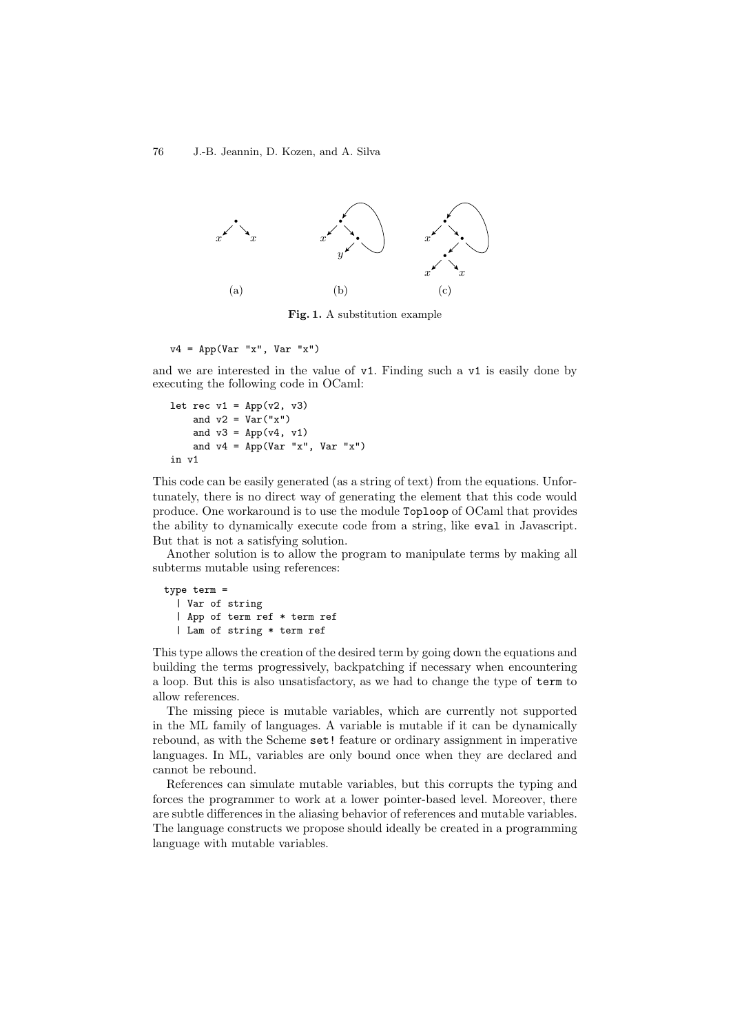

<span id="page-15-0"></span>**Fig. 1.** A substitution example

 $v4 = App(Var "x", Var "x")$ 

and we are interested in the value of v1. Finding such a v1 is easily done by executing the following code in OCaml:

```
let rec v1 = App(v2, v3)and v2 = Var("x")and v3 = App(v4, v1)and v4 = App(Var "x", Var "x")in v1
```
This code can be easily generated (as a string of text) from the equations. Unfortunately, there is no direct way of generating the element that this code would produce. One workaround is to use the module Toploop of OCaml that provides the ability to dynamically execute code from a string, like eval in Javascript. But that is not a satisfying solution.

Another solution is to allow the program to manipulate terms by making all subterms mutable using references:

type term = | Var of string | App of term ref \* term ref | Lam of string \* term ref

This type allows the creation of the desired term by going down the equations and building the terms progressively, backpatching if necessary when encountering a loop. But this is also unsatisfactory, as we had to change the type of term to allow references.

The missing piece is mutable variables, which are currently not supported in the ML family of languages. A variable is mutable if it can be dynamically rebound, as with the Scheme set! feature or ordinary assignment in imperative languages. In ML, variables are only bound once when they are declared and cannot be rebound.

References can simulate mutable variables, but this corrupts the typing and forces the programmer to work at a lower pointer-based level. Moreover, there are subtle differences in the aliasing behavior of references and mutable variables. The language constructs we propose should ideally be created in a programming language with mutable variables.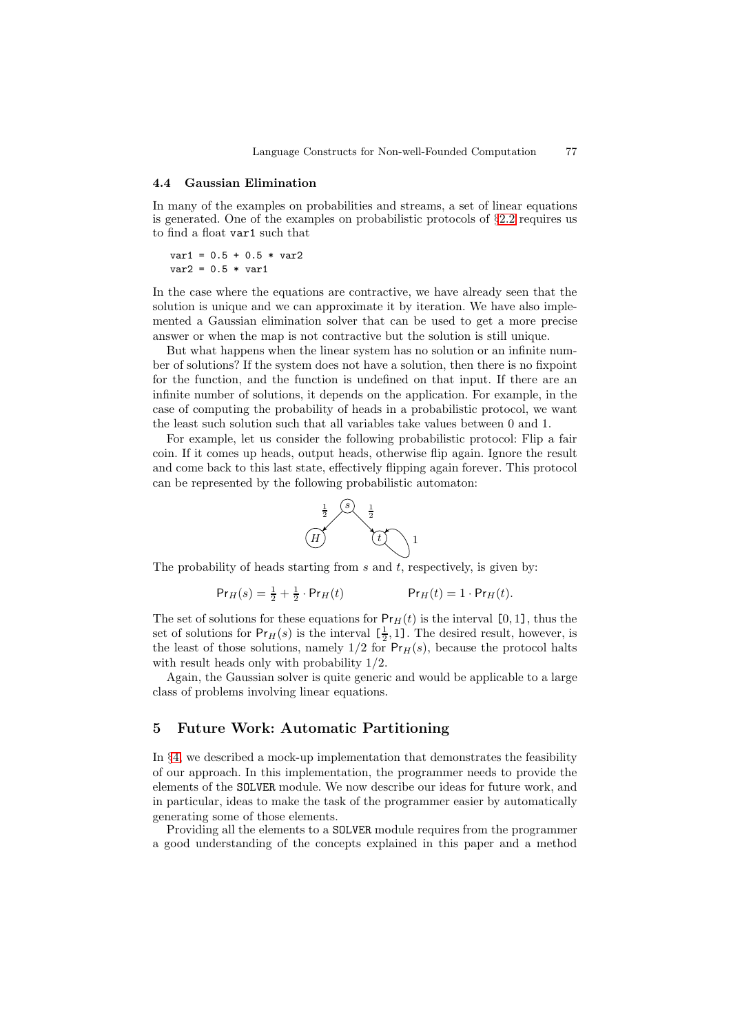#### <span id="page-16-1"></span>**4.4 Gaussian Elimination**

In many of the examples on probabilities and streams, a set of linear equations is generated. One of the examples on probabilistic protocols of §[2.2](#page-4-0) requires us to find a float var1 such that

 $var1 = 0.5 + 0.5 * var2$  $var2 = 0.5 * var1$ 

In the case where the equations are contractive, we have already seen that the solution is unique and we can approximate it by iteration. We have also implemented a Gaussian elimination solver that can be used to get a more precise answer or when the map is not contractive but the solution is still unique.

But what happens when the linear system has no solution or an infinite number of solutions? If the system does not have a solution, then there is no fixpoint for the function, and the function is undefined on that input. If there are an infinite number of solutions, it depends on the application. For example, in the case of computing the probability of heads in a probabilistic protocol, we want the least such solution such that all variables take values between 0 and 1.

For example, let us consider the following probabilistic protocol: Flip a fair coin. If it comes up heads, output heads, otherwise flip again. Ignore the result and come back to this last state, effectively flipping again forever. This protocol can be represented by the following probabilistic automaton:



The probability of heads starting from  $s$  and  $t$ , respectively, is given by:

$$
\Pr_H(s) = \frac{1}{2} + \frac{1}{2} \cdot \Pr_H(t) \qquad \Pr_H(t) = 1 \cdot \Pr_H(t).
$$

The set of solutions for these equations for  $Pr_H(t)$  is the interval [0, 1], thus the set of solutions for  $Pr_H(s)$  is the interval  $\left[\frac{1}{2}, 1\right]$ . The desired result, however, is the least of those solutions, namely  $1/2$  for  $Pr_H(s)$ , because the protocol halts with result heads only with probability 1/2.

Again, the Gaussian solver is quite generic and would be applicable to a large class of problems involving linear equations.

### <span id="page-16-0"></span>**5 Future Work: Automatic Partitioning**

In §[4,](#page-10-1) we described a mock-up implementation that demonstrates the feasibility of our approach. In this implementation, the programmer needs to provide the elements of the SOLVER module. We now describe our ideas for future work, and in particular, ideas to make the task of the programmer easier by automatically generating some of those elements.

Providing all the elements to a SOLVER module requires from the programmer a good understanding of the concepts explained in this paper and a method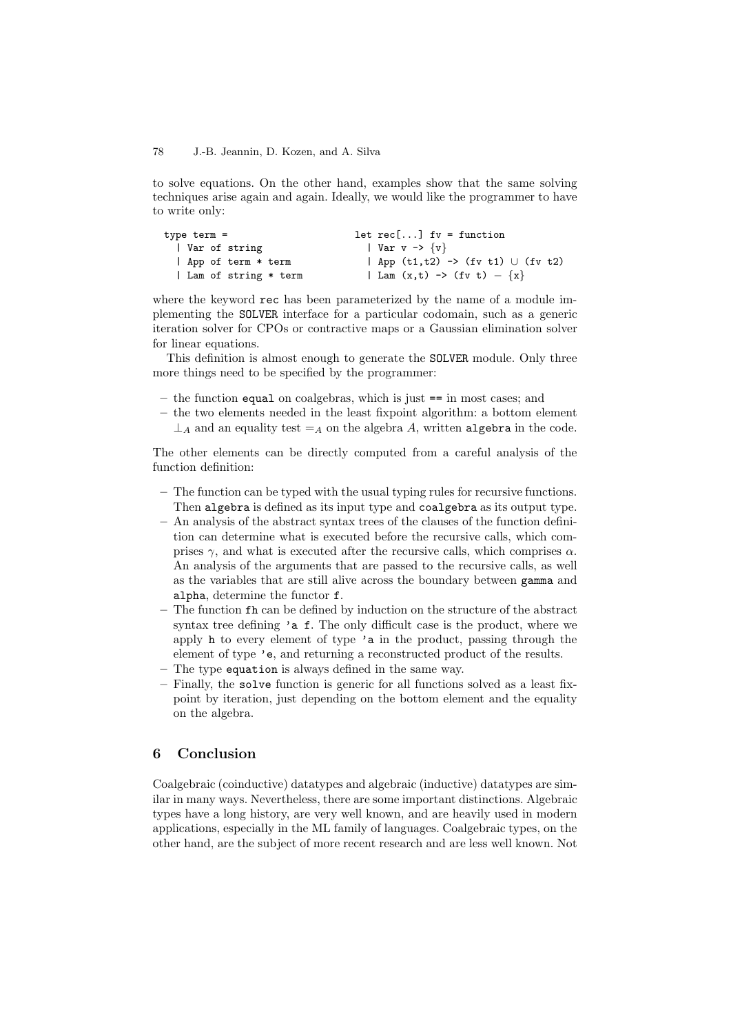to solve equations. On the other hand, examples show that the same solving techniques arise again and again. Ideally, we would like the programmer to have to write only:

| type term $=$        | $let rec[]$ fv = function                      |
|----------------------|------------------------------------------------|
| Var of string        | Var $v \rightarrow \{v\}$                      |
| App of term * term   | App $(t1,t2) \rightarrow (fv t1) \cup (fv t2)$ |
| Lam of string * term | Lam $(x,t) \rightarrow (fv t) - {x}$           |

where the keyword rec has been parameterized by the name of a module implementing the SOLVER interface for a particular codomain, such as a generic iteration solver for CPOs or contractive maps or a Gaussian elimination solver for linear equations.

This definition is almost enough to generate the SOLVER module. Only three more things need to be specified by the programmer:

- **–** the function equal on coalgebras, which is just == in most cases; and
- **–** the two elements needed in the least fixpoint algorithm: a bottom element  $\perp_A$  and an equality test  $=_A$  on the algebra A, written **algebra** in the code.

The other elements can be directly computed from a careful analysis of the function definition:

- **–** The function can be typed with the usual typing rules for recursive functions. Then algebra is defined as its input type and coalgebra as its output type.
- **–** An analysis of the abstract syntax trees of the clauses of the function definition can determine what is executed before the recursive calls, which comprises  $\gamma$ , and what is executed after the recursive calls, which comprises  $\alpha$ . An analysis of the arguments that are passed to the recursive calls, as well as the variables that are still alive across the boundary between gamma and alpha, determine the functor f.
- **–** The function fh can be defined by induction on the structure of the abstract syntax tree defining 'a f. The only difficult case is the product, where we apply h to every element of type 'a in the product, passing through the element of type 'e, and returning a reconstructed product of the results.
- **–** The type equation is always defined in the same way.
- **–** Finally, the solve function is generic for all functions solved as a least fixpoint by iteration, just depending on the bottom element and the equality on the algebra.

### **6 Conclusion**

Coalgebraic (coinductive) datatypes and algebraic (inductive) datatypes are similar in many ways. Nevertheless, there are some important distinctions. Algebraic types have a long history, are very well known, and are heavily used in modern applications, especially in the ML family of languages. Coalgebraic types, on the other hand, are the subject of more recent research and are less well known. Not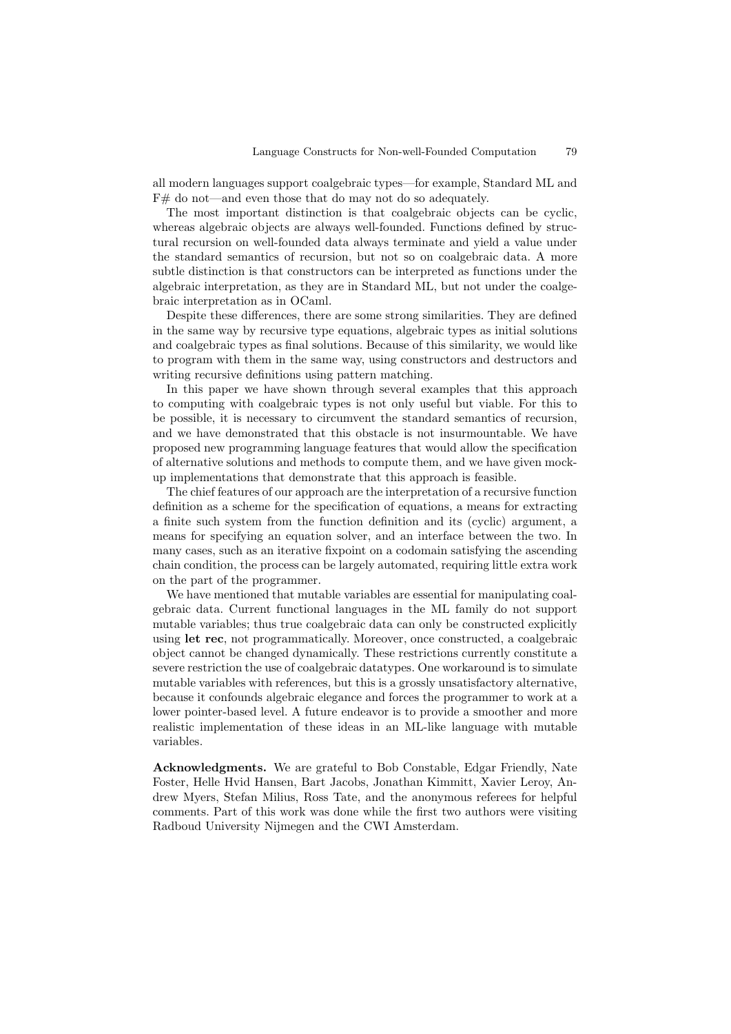all modern languages support coalgebraic types—for example, Standard ML and F# do not—and even those that do may not do so adequately.

The most important distinction is that coalgebraic objects can be cyclic, whereas algebraic objects are always well-founded. Functions defined by structural recursion on well-founded data always terminate and yield a value under the standard semantics of recursion, but not so on coalgebraic data. A more subtle distinction is that constructors can be interpreted as functions under the algebraic interpretation, as they are in Standard ML, but not under the coalgebraic interpretation as in OCaml.

Despite these differences, there are some strong similarities. They are defined in the same way by recursive type equations, algebraic types as initial solutions and coalgebraic types as final solutions. Because of this similarity, we would like to program with them in the same way, using constructors and destructors and writing recursive definitions using pattern matching.

In this paper we have shown through several examples that this approach to computing with coalgebraic types is not only useful but viable. For this to be possible, it is necessary to circumvent the standard semantics of recursion, and we have demonstrated that this obstacle is not insurmountable. We have proposed new programming language features that would allow the specification of alternative solutions and methods to compute them, and we have given mockup implementations that demonstrate that this approach is feasible.

The chief features of our approach are the interpretation of a recursive function definition as a scheme for the specification of equations, a means for extracting a finite such system from the function definition and its (cyclic) argument, a means for specifying an equation solver, and an interface between the two. In many cases, such as an iterative fixpoint on a codomain satisfying the ascending chain condition, the process can be largely automated, requiring little extra work on the part of the programmer.

We have mentioned that mutable variables are essential for manipulating coalgebraic data. Current functional languages in the ML family do not support mutable variables; thus true coalgebraic data can only be constructed explicitly using **let rec**, not programmatically. Moreover, once constructed, a coalgebraic object cannot be changed dynamically. These restrictions currently constitute a severe restriction the use of coalgebraic datatypes. One workaround is to simulate mutable variables with references, but this is a grossly unsatisfactory alternative, because it confounds algebraic elegance and forces the programmer to work at a lower pointer-based level. A future endeavor is to provide a smoother and more realistic implementation of these ideas in an ML-like language with mutable variables.

**Acknowledgments.** We are grateful to Bob Constable, Edgar Friendly, Nate Foster, Helle Hvid Hansen, Bart Jacobs, Jonathan Kimmitt, Xavier Leroy, Andrew Myers, Stefan Milius, Ross Tate, and the anonymous referees for helpful comments. Part of this work was done while the first two authors were visiting Radboud University Nijmegen and the CWI Amsterdam.